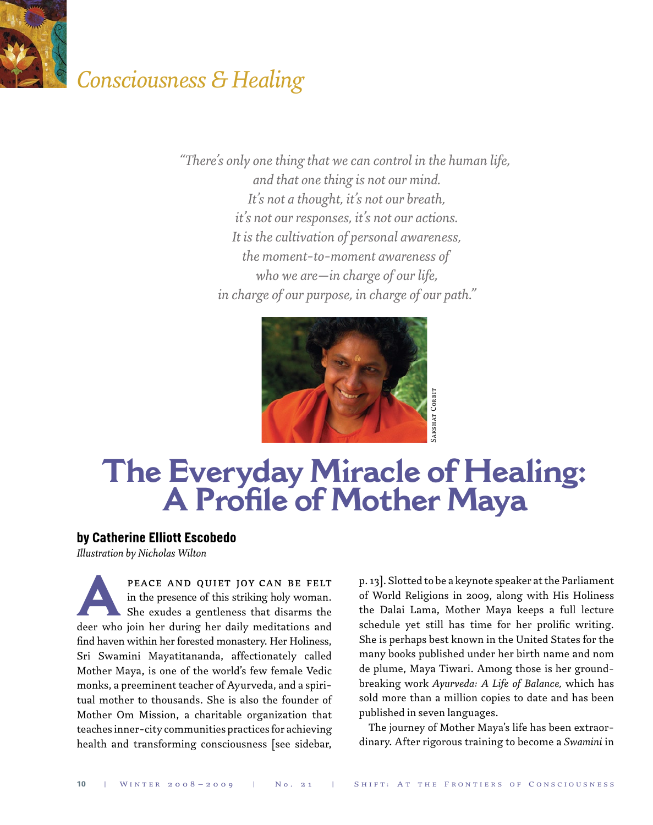## *Consciousness & Healing*

*"There's only one thing that we can control in the human life, and that one thing is not our mind. It's not a thought, it's not our breath, it's not our responses, it's not our actions. It is the cultivation of personal awareness, the moment-to-moment awareness of who we are—in charge of our life, in charge of our purpose, in charge of our path."*



# **The Everyday Miracle of Healing: A Profile of Mother Maya**

#### **by Catherine Elliott Escobedo**

*Illustration by Nicholas Wilton* 

PEACE AND QUIET JOY CAN BE FELT<br>in the presence of this striking holy woman.<br>She exudes a gentleness that disarms the in the presence of this striking holy woman. She exudes a gentleness that disarms the deer who join her during her daily meditations and find haven within her forested monastery. Her Holiness, Sri Swamini Mayatitananda, affectionately called Mother Maya, is one of the world's few female Vedic monks, a preeminent teacher of Ayurveda, and a spiritual mother to thousands. She is also the founder of Mother Om Mission, a charitable organization that teaches inner-city communities practices for achieving health and transforming consciousness [see sidebar,

p. 13]. Slotted to be a keynote speaker at the Parliament of World Religions in 2009, along with His Holiness the Dalai Lama, Mother Maya keeps a full lecture schedule yet still has time for her prolific writing. She is perhaps best known in the United States for the many books published under her birth name and nom de plume, Maya Tiwari. Among those is her groundbreaking work *Ayurveda: A Life of Balance,* which has sold more than a million copies to date and has been published in seven languages.

The journey of Mother Maya's life has been extraordinary. After rigorous training to become a *Swamini* in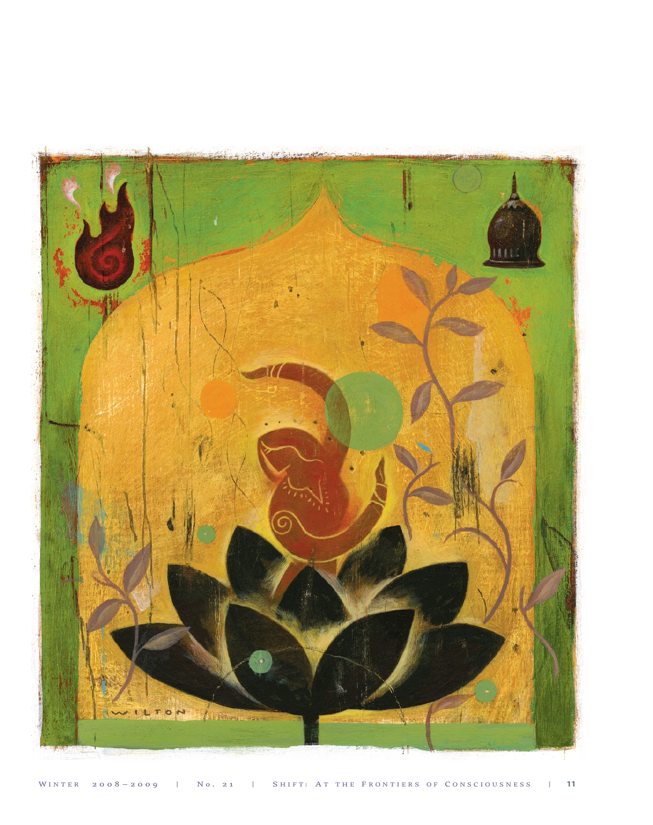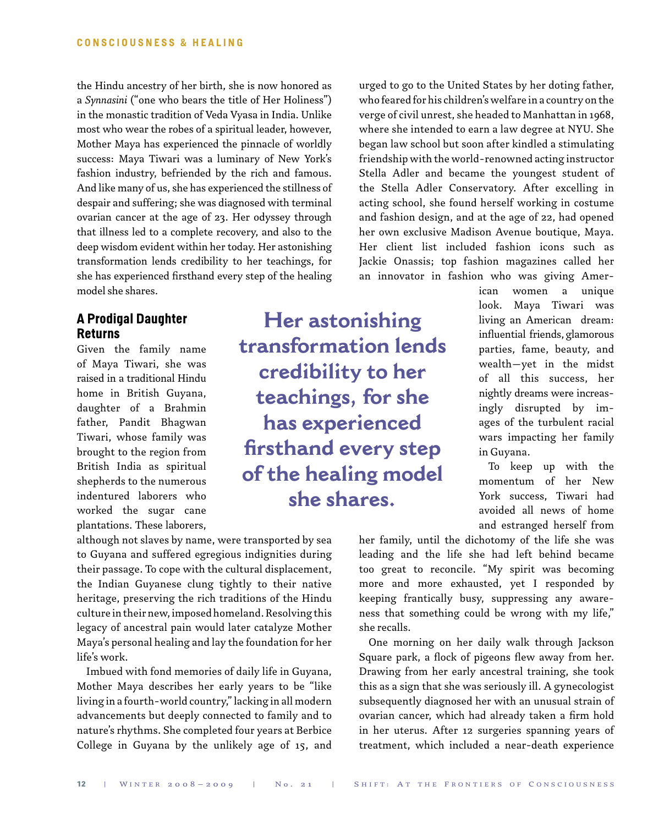the Hindu ancestry of her birth, she is now honored as a *Synnasini* ("one who bears the title of Her Holiness") in the monastic tradition of Veda Vyasa in India. Unlike most who wear the robes of a spiritual leader, however, Mother Maya has experienced the pinnacle of worldly success: Maya Tiwari was a luminary of New York's fashion industry, befriended by the rich and famous. And like many of us, she has experienced the stillness of despair and suffering; she was diagnosed with terminal ovarian cancer at the age of 23. Her odyssey through that illness led to a complete recovery, and also to the deep wisdom evident within her today. Her astonishing transformation lends credibility to her teachings, for she has experienced firsthand every step of the healing model she shares.

#### **A Prodigal Daughter Returns**

Given the family name of Maya Tiwari, she was raised in a traditional Hindu home in British Guyana, daughter of a Brahmin father, Pandit Bhagwan Tiwari, whose family was brought to the region from British India as spiritual shepherds to the numerous indentured laborers who worked the sugar cane plantations. These laborers,

**Her astonishing transformation lends credibility to her teachings, for she has experienced firsthand every step of the healing model she shares.**

although not slaves by name, were transported by sea to Guyana and suffered egregious indignities during their passage. To cope with the cultural displacement, the Indian Guyanese clung tightly to their native heritage, preserving the rich traditions of the Hindu culture in their new, imposed homeland. Resolving this legacy of ancestral pain would later catalyze Mother Maya's personal healing and lay the foundation for her life's work.

Imbued with fond memories of daily life in Guyana, Mother Maya describes her early years to be "like living in a fourth-world country," lacking in all modern advancements but deeply connected to family and to nature's rhythms. She completed four years at Berbice College in Guyana by the unlikely age of 15, and urged to go to the United States by her doting father, who feared for his children's welfare in a country on the verge of civil unrest, she headed to Manhattan in 1968, where she intended to earn a law degree at NYU. She began law school but soon after kindled a stimulating friendship with the world-renowned acting instructor Stella Adler and became the youngest student of the Stella Adler Conservatory. After excelling in acting school, she found herself working in costume and fashion design, and at the age of 22, had opened her own exclusive Madison Avenue boutique, Maya. Her client list included fashion icons such as Jackie Onassis; top fashion magazines called her an innovator in fashion who was giving Amer-

> ican women a unique look. Maya Tiwari was living an American dream: influential friends, glamorous parties, fame, beauty, and wealth—yet in the midst of all this success, her nightly dreams were increasingly disrupted by images of the turbulent racial wars impacting her family in Guyana.

> To keep up with the momentum of her New York success, Tiwari had avoided all news of home and estranged herself from

her family, until the dichotomy of the life she was leading and the life she had left behind became too great to reconcile. "My spirit was becoming more and more exhausted, yet I responded by keeping frantically busy, suppressing any awareness that something could be wrong with my life," she recalls.

One morning on her daily walk through Jackson Square park, a flock of pigeons flew away from her. Drawing from her early ancestral training, she took this as a sign that she was seriously ill. A gynecologist subsequently diagnosed her with an unusual strain of ovarian cancer, which had already taken a firm hold in her uterus. After 12 surgeries spanning years of treatment, which included a near-death experience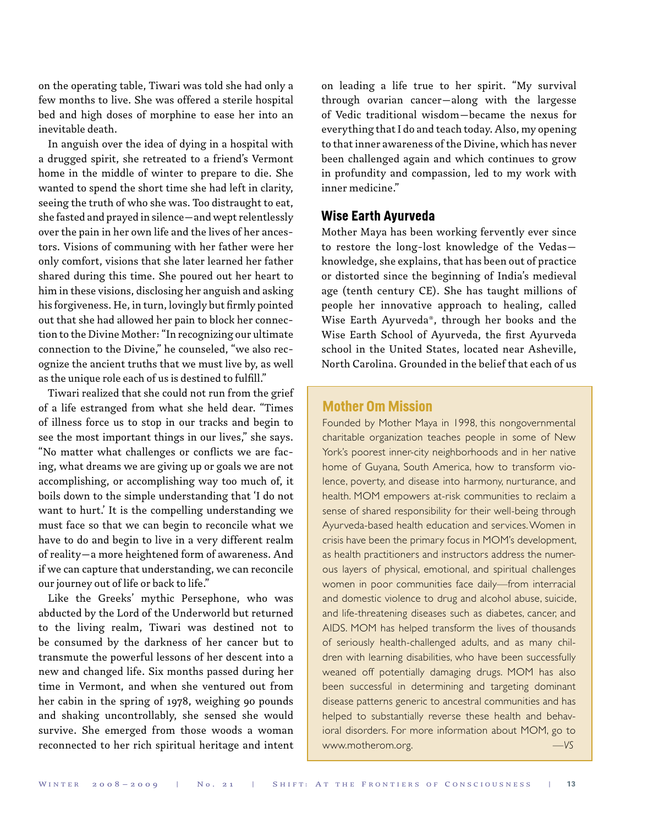on the operating table, Tiwari was told she had only a few months to live. She was offered a sterile hospital bed and high doses of morphine to ease her into an inevitable death.

In anguish over the idea of dying in a hospital with a drugged spirit, she retreated to a friend's Vermont home in the middle of winter to prepare to die. She wanted to spend the short time she had left in clarity, seeing the truth of who she was. Too distraught to eat, she fasted and prayed in silence—and wept relentlessly over the pain in her own life and the lives of her ancestors. Visions of communing with her father were her only comfort, visions that she later learned her father shared during this time. She poured out her heart to him in these visions, disclosing her anguish and asking his forgiveness. He, in turn, lovingly but firmly pointed out that she had allowed her pain to block her connection to the Divine Mother: "In recognizing our ultimate connection to the Divine," he counseled, "we also recognize the ancient truths that we must live by, as well as the unique role each of us is destined to fulfill."

Tiwari realized that she could not run from the grief of a life estranged from what she held dear. "Times of illness force us to stop in our tracks and begin to see the most important things in our lives," she says. "No matter what challenges or conflicts we are facing, what dreams we are giving up or goals we are not accomplishing, or accomplishing way too much of, it boils down to the simple understanding that 'I do not want to hurt.' It is the compelling understanding we must face so that we can begin to reconcile what we have to do and begin to live in a very different realm of reality—a more heightened form of awareness. And if we can capture that understanding, we can reconcile our journey out of life or back to life."

Like the Greeks' mythic Persephone, who was abducted by the Lord of the Underworld but returned to the living realm, Tiwari was destined not to be consumed by the darkness of her cancer but to transmute the powerful lessons of her descent into a new and changed life. Six months passed during her time in Vermont, and when she ventured out from her cabin in the spring of 1978, weighing 90 pounds and shaking uncontrollably, she sensed she would survive. She emerged from those woods a woman reconnected to her rich spiritual heritage and intent on leading a life true to her spirit. "My survival through ovarian cancer—along with the largesse of Vedic traditional wisdom—became the nexus for everything that I do and teach today. Also, my opening to that inner awareness of the Divine, which has never been challenged again and which continues to grow in profundity and compassion, led to my work with inner medicine."

#### **Wise Earth Ayurveda**

Mother Maya has been working fervently ever since to restore the long-lost knowledge of the Vedas knowledge, she explains, that has been out of practice or distorted since the beginning of India's medieval age (tenth century CE). She has taught millions of people her innovative approach to healing, called Wise Earth Ayurveda®, through her books and the Wise Earth School of Ayurveda, the first Ayurveda school in the United States, located near Asheville, North Carolina. Grounded in the belief that each of us

#### **Mother Om Mission**

Founded by Mother Maya in 1998, this nongovernmental charitable organization teaches people in some of New York's poorest inner-city neighborhoods and in her native home of Guyana, South America, how to transform violence, poverty, and disease into harmony, nurturance, and health. MOM empowers at-risk communities to reclaim a sense of shared responsibility for their well-being through Ayurveda-based health education and services. Women in crisis have been the primary focus in MOM's development, as health practitioners and instructors address the numerous layers of physical, emotional, and spiritual challenges women in poor communities face daily—from interracial and domestic violence to drug and alcohol abuse, suicide, and life-threatening diseases such as diabetes, cancer, and AIDS. MOM has helped transform the lives of thousands of seriously health-challenged adults, and as many children with learning disabilities, who have been successfully weaned off potentially damaging drugs. MOM has also been successful in determining and targeting dominant disease patterns generic to ancestral communities and has helped to substantially reverse these health and behavioral disorders. For more information about MOM, go to www.motherom.org. *—VS*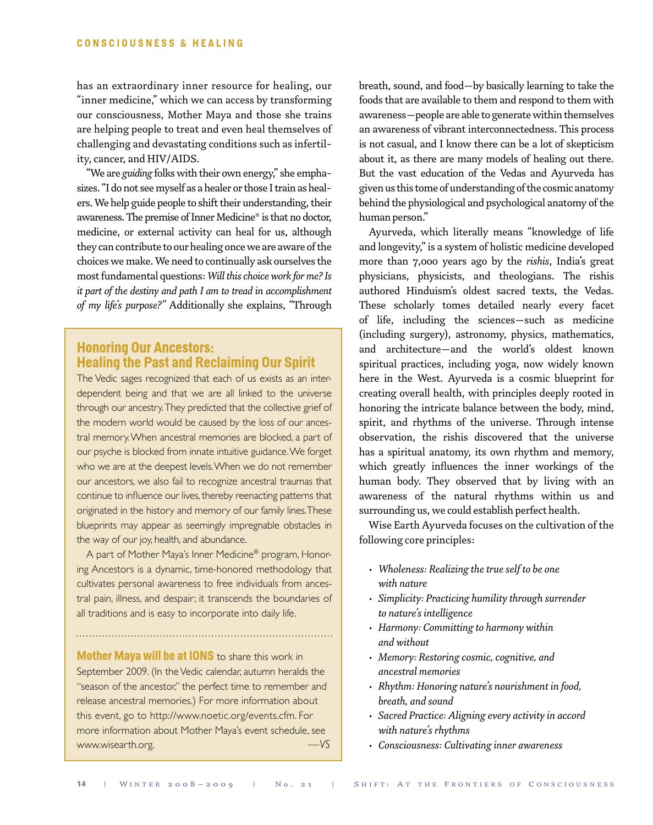has an extraordinary inner resource for healing, our "inner medicine," which we can access by transforming our consciousness, Mother Maya and those she trains are helping people to treat and even heal themselves of challenging and devastating conditions such as infertility, cancer, and HIV/AIDS.

"We are *guiding* folks with their own energy," she emphasizes. "I do not see myself as a healer or those I train as healers. We help guide people to shift their understanding, their awareness. The premise of Inner Medicine® is that no doctor, medicine, or external activity can heal for us, although they can contribute to our healing once we are aware of the choices we make. We need to continually ask ourselves the most fundamental questions: *Will this choice work for me? Is it part of the destiny and path I am to tread in accomplishment of my life's purpose?"* Additionally she explains, "Through

### **Honoring Our Ancestors: Healing the Past and Reclaiming Our Spirit**

The Vedic sages recognized that each of us exists as an interdependent being and that we are all linked to the universe through our ancestry.They predicted that the collective grief of the modern world would be caused by the loss of our ancestral memory. When ancestral memories are blocked, a part of our psyche is blocked from innate intuitive guidance. We forget who we are at the deepest levels. When we do not remember our ancestors, we also fail to recognize ancestral traumas that continue to influence our lives, thereby reenacting patterns that originated in the history and memory of our family lines. These blueprints may appear as seemingly impregnable obstacles in the way of our joy, health, and abundance.

A part of Mother Maya's Inner Medicine® program, Honoring Ancestors is a dynamic, time-honored methodology that cultivates personal awareness to free individuals from ancestral pain, illness, and despair; it transcends the boundaries of all traditions and is easy to incorporate into daily life.

**Mother Maya will be at IONS** to share this work in September 2009. (In the Vedic calendar, autumn heralds the "season of the ancestor," the perfect time to remember and release ancestral memories.) For more information about this event, go to http://www.noetic.org/events.cfm. For more information about Mother Maya's event schedule, see www.wisearth.org. *—VS* breath, sound, and food—by basically learning to take the foods that are available to them and respond to them with awareness—people are able to generate within themselves an awareness of vibrant interconnectedness. This process is not casual, and I know there can be a lot of skepticism about it, as there are many models of healing out there. But the vast education of the Vedas and Ayurveda has given us this tome of understanding of the cosmic anatomy behind the physiological and psychological anatomy of the human person."

Ayurveda, which literally means "knowledge of life and longevity," is a system of holistic medicine developed more than 7,000 years ago by the *rishis*, India's great physicians, physicists, and theologians. The rishis authored Hinduism's oldest sacred texts, the Vedas. These scholarly tomes detailed nearly every facet of life, including the sciences—such as medicine (including surgery), astronomy, physics, mathematics, and architecture—and the world's oldest known spiritual practices, including yoga, now widely known here in the West. Ayurveda is a cosmic blueprint for creating overall health, with principles deeply rooted in honoring the intricate balance between the body, mind, spirit, and rhythms of the universe. Through intense observation, the rishis discovered that the universe has a spiritual anatomy, its own rhythm and memory, which greatly influences the inner workings of the human body. They observed that by living with an awareness of the natural rhythms within us and surrounding us, we could establish perfect health.

Wise Earth Ayurveda focuses on the cultivation of the following core principles:

- *• Wholeness: Realizing the true self to be one with nature*
- *• Simplicity: Practicing humility through surrender to nature's intelligence*
- *• Harmony: Committing to harmony within and without*
- *• Memory: Restoring cosmic, cognitive, and ancestral memories*
- *• Rhythm: Honoring nature's nourishment in food, breath, and sound*
- *• Sacred Practice: Aligning every activity in accord with nature's rhythms*
- *• Consciousness: Cultivating inner awareness*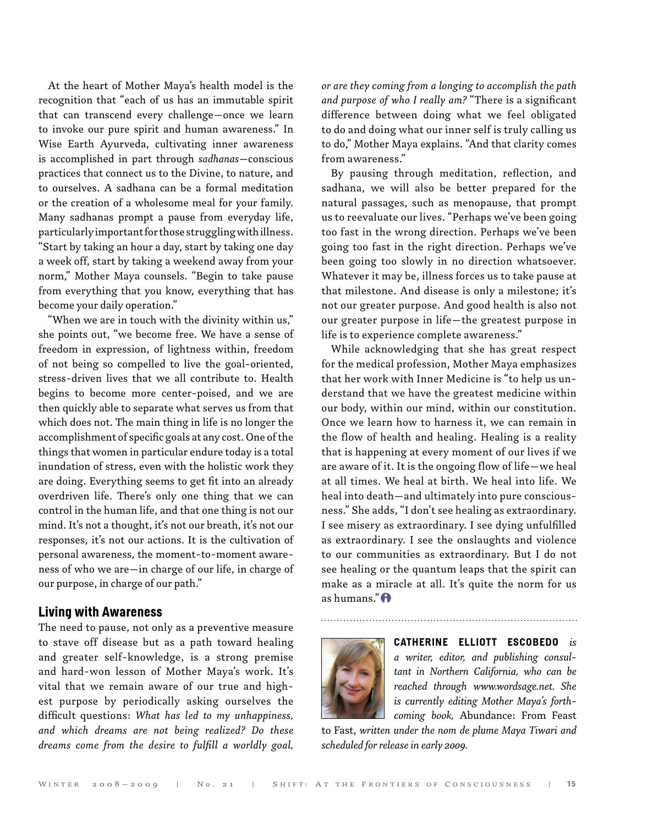At the heart of Mother Maya's health model is the recognition that "each of us has an immutable spirit that can transcend every challenge—once we learn to invoke our pure spirit and human awareness." In Wise Earth Ayurveda, cultivating inner awareness is accomplished in part through *sadhanas—*conscious practices that connect us to the Divine, to nature, and to ourselves. A sadhana can be a formal meditation or the creation of a wholesome meal for your family. Many sadhanas prompt a pause from everyday life, particularly important for those struggling with illness. "Start by taking an hour a day, start by taking one day a week off, start by taking a weekend away from your norm," Mother Maya counsels. "Begin to take pause from everything that you know, everything that has become your daily operation."

"When we are in touch with the divinity within us," she points out, "we become free. We have a sense of freedom in expression, of lightness within, freedom of not being so compelled to live the goal-oriented, stress-driven lives that we all contribute to. Health begins to become more center-poised, and we are then quickly able to separate what serves us from that which does not. The main thing in life is no longer the accomplishment of specific goals at any cost. One of the things that women in particular endure today is a total inundation of stress, even with the holistic work they are doing. Everything seems to get fit into an already overdriven life. There's only one thing that we can control in the human life, and that one thing is not our mind. It's not a thought, it's not our breath, it's not our responses, it's not our actions. It is the cultivation of personal awareness, the moment-to-moment awareness of who we are—in charge of our life, in charge of our purpose, in charge of our path."

#### **Living with Awareness**

The need to pause, not only as a preventive measure to stave off disease but as a path toward healing and greater self-knowledge, is a strong premise and hard-won lesson of Mother Maya's work. It's vital that we remain aware of our true and highest purpose by periodically asking ourselves the difficult questions: *What has led to my unhappiness, and which dreams are not being realized? Do these dreams come from the desire to fulfill a worldly goal,* 

*or are they coming from a longing to accomplish the path and purpose of who I really am?* "There is a significant difference between doing what we feel obligated to do and doing what our inner self is truly calling us to do," Mother Maya explains. "And that clarity comes from awareness."

By pausing through meditation, reflection, and sadhana, we will also be better prepared for the natural passages, such as menopause, that prompt us to reevaluate our lives. "Perhaps we've been going too fast in the wrong direction. Perhaps we've been going too fast in the right direction. Perhaps we've been going too slowly in no direction whatsoever. Whatever it may be, illness forces us to take pause at that milestone. And disease is only a milestone; it's not our greater purpose. And good health is also not our greater purpose in life—the greatest purpose in life is to experience complete awareness."

While acknowledging that she has great respect for the medical profession, Mother Maya emphasizes that her work with Inner Medicine is "to help us understand that we have the greatest medicine within our body, within our mind, within our constitution. Once we learn how to harness it, we can remain in the flow of health and healing. Healing is a reality that is happening at every moment of our lives if we are aware of it. It is the ongoing flow of life—we heal at all times. We heal at birth. We heal into life. We heal into death—and ultimately into pure consciousness." She adds, "I don't see healing as extraordinary. I see misery as extraordinary. I see dying unfulfilled as extraordinary. I see the onslaughts and violence to our communities as extraordinary. But I do not see healing or the quantum leaps that the spirit can make as a miracle at all. It's quite the norm for us as humans."A



**CATHERINE ELLIOTT ESCOBEDO** *is a writer, editor, and publishing consultant in Northern California, who can be reached through www.wordsage.net. She is currently editing Mother Maya's forthcoming book,* Abundance: From Feast

to Fast, *written under the nom de plume Maya Tiwari and scheduled for release in early 2009.*